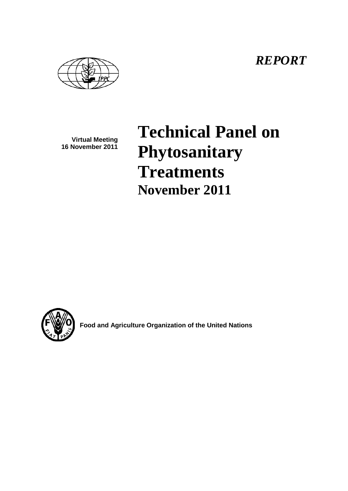*REPORT*

**Virtual Meeting 16 November 2011**

# **Technical Panel on Phytosanitary Treatments November 2011**



**Food and Agriculture Organization of the United Nations**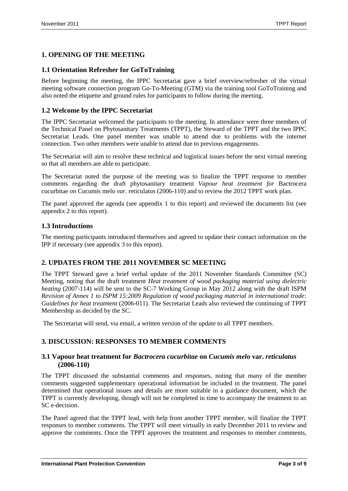## **1. OPENING OF THE MEETING**

#### **1.1 Orientation Refresher for GoToTraining**

Before beginning the meeting, the IPPC Secretariat gave a brief overview/refresher of the virtual meeting software connection program Go-To-Meeting (GTM) via the training tool GoToTraining and also noted the etiquette and ground rules for participants to follow during the meeting.

#### **1.2 Welcome by the IPPC Secretariat**

The IPPC Secretariat welcomed the participants to the meeting. In attendance were three members of the Technical Panel on Phytosanitary Treatments (TPPT), the Steward of the TPPT and the two IPPC Secretariat Leads. One panel member was unable to attend due to problems with the internet connection. Two other members were unable to attend due to previous engagements.

The Secretariat will aim to resolve these technical and logistical issues before the next virtual meeting so that all members are able to participate.

The Secretariat noted the purpose of the meeting was to finalize the TPPT response to member comments regarding the draft phytosanitary treatment *Vapour heat treatment for* Bactrocera cucurbitae *on* Cucumis melo *var.* reticulatus (2006-110) and to review the 2012 TPPT work plan.

The panel approved the agenda (see appendix 1 to this report) and reviewed the documents list (see appendix 2 to this report).

#### **1.3 Introductions**

The meeting participants introduced themselves and agreed to update their contact information on the IPP if necessary (see appendix 3 to this report).

## **2. UPDATES FROM THE 2011 NOVEMBER SC MEETING**

The TPPT Steward gave a brief verbal update of the 2011 November Standards Committee (SC) Meeting, noting that the draft treatment *Heat treatment of wood packaging material using dielectric heating* (2007-114) will be sent to the SC-7 Working Group in May 2012 along with the draft ISPM *Revision of Annex 1 to ISPM 15:2009 Regulation of wood packaging material in international trade: Guidelines for heat treatment* (2006-011). The Secretariat Leads also reviewed the continuing of TPPT Membership as decided by the SC.

The Secretariat will send, via email, a written version of the update to all TPPT members.

#### **3. DISCUSSION: RESPONSES TO MEMBER COMMENTS**

#### **3.1 Vapour heat treatment for** *Bactrocera cucurbitae* **on** *Cucumis melo* **var.** *reticulatus* **(2006-110)**

The TPPT discussed the substantial comments and responses, noting that many of the member comments suggested supplementary operational information be included in the treatment. The panel determined that operational issues and details are more suitable in a guidance document, which the TPPT is currently developing, though will not be completed in time to accompany the treatment to an SC e-decision.

The Panel agreed that the TPPT lead, with help from another TPPT member, will finalize the TPPT responses to member comments. The TPPT will meet virtually in early December 2011 to review and approve the comments. Once the TPPT approves the treatment and responses to member comments,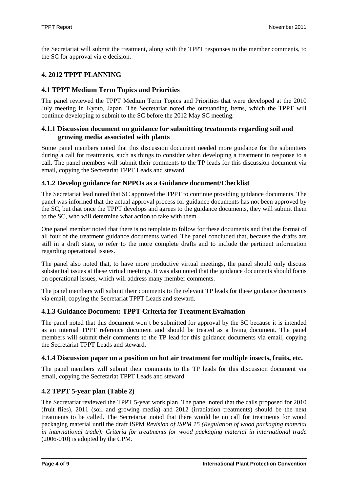the Secretariat will submit the treatment, along with the TPPT responses to the member comments, to the SC for approval via e-decision.

#### **4. 2012 TPPT PLANNING**

#### **4.1 TPPT Medium Term Topics and Priorities**

The panel reviewed the TPPT Medium Term Topics and Priorities that were developed at the 2010 July meeting in Kyoto, Japan. The Secretariat noted the outstanding items, which the TPPT will continue developing to submit to the SC before the 2012 May SC meeting.

#### **4.1.1 Discussion document on guidance for submitting treatments regarding soil and growing media associated with plants**

Some panel members noted that this discussion document needed more guidance for the submitters during a call for treatments, such as things to consider when developing a treatment in response to a call. The panel members will submit their comments to the TP leads for this discussion document via email, copying the Secretariat TPPT Leads and steward.

#### **4.1.2 Develop guidance for NPPOs as a Guidance document/Checklist**

The Secretariat lead noted that SC approved the TPPT to continue providing guidance documents. The panel was informed that the actual approval process for guidance documents has not been approved by the SC, but that once the TPPT develops and agrees to the guidance documents, they will submit them to the SC, who will determine what action to take with them.

One panel member noted that there is no template to follow for these documents and that the format of all four of the treatment guidance documents varied. The panel concluded that, because the drafts are still in a draft state, to refer to the more complete drafts and to include the pertinent information regarding operational issues.

The panel also noted that, to have more productive virtual meetings, the panel should only discuss substantial issues at these virtual meetings. It was also noted that the guidance documents should focus on operational issues, which will address many member comments.

The panel members will submit their comments to the relevant TP leads for these guidance documents via email, copying the Secretariat TPPT Leads and steward.

#### **4.1.3 Guidance Document: TPPT Criteria for Treatment Evaluation**

The panel noted that this document won't be submitted for approval by the SC because it is intended as an internal TPPT reference document and should be treated as a living document. The panel members will submit their comments to the TP lead for this guidance documents via email, copying the Secretariat TPPT Leads and steward.

#### **4.1.4 Discussion paper on a position on hot air treatment for multiple insects, fruits, etc.**

The panel members will submit their comments to the TP leads for this discussion document via email, copying the Secretariat TPPT Leads and steward.

#### **4.2 TPPT 5-year plan (Table 2)**

The Secretariat reviewed the TPPT 5-year work plan. The panel noted that the calls proposed for 2010 (fruit flies), 2011 (soil and growing media) and 2012 (irradiation treatments) should be the next treatments to be called. The Secretariat noted that there would be no call for treatments for wood packaging material until the draft ISPM *Revision of ISPM 15 (Regulation of wood packaging material in international trade): Criteria for treatments for wood packaging material in international trade* (2006-010) is adopted by the CPM.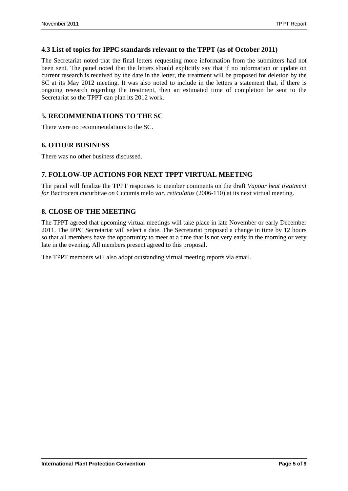#### **4.3 List of topics for IPPC standards relevant to the TPPT (as of October 2011)**

The Secretariat noted that the final letters requesting more information from the submitters had not been sent. The panel noted that the letters should explicitly say that if no information or update on current research is received by the date in the letter, the treatment will be proposed for deletion by the SC at its May 2012 meeting. It was also noted to include in the letters a statement that, if there is ongoing research regarding the treatment, then an estimated time of completion be sent to the Secretariat so the TPPT can plan its 2012 work.

## **5. RECOMMENDATIONS TO THE SC**

There were no recommendations to the SC.

#### **6. OTHER BUSINESS**

There was no other business discussed.

### **7. FOLLOW-UP ACTIONS FOR NEXT TPPT VIRTUAL MEETING**

The panel will finalize the TPPT responses to member comments on the draft *Vapour heat treatment for* Bactrocera cucurbitae *on* Cucumis melo *var. reticulatus* (2006-110) at its next virtual meeting.

#### **8. CLOSE OF THE MEETING**

The TPPT agreed that upcoming virtual meetings will take place in late November or early December 2011. The IPPC Secretariat will select a date. The Secretariat proposed a change in time by 12 hours so that all members have the opportunity to meet at a time that is not very early in the morning or very late in the evening. All members present agreed to this proposal.

The TPPT members will also adopt outstanding virtual meeting reports via email.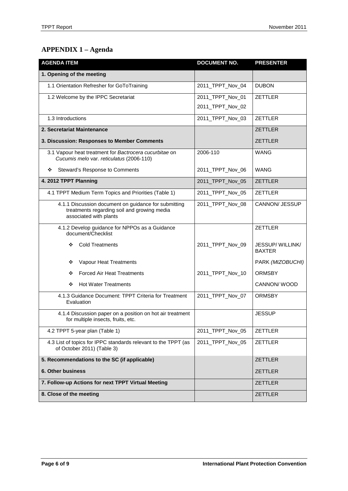# **APPENDIX 1 – Agenda**

| <b>AGENDA ITEM</b>                                                                                                            | <b>DOCUMENT NO.</b> | <b>PRESENTER</b>                  |
|-------------------------------------------------------------------------------------------------------------------------------|---------------------|-----------------------------------|
| 1. Opening of the meeting                                                                                                     |                     |                                   |
| 1.1 Orientation Refresher for GoToTraining                                                                                    | 2011_TPPT_Nov_04    | <b>DUBON</b>                      |
| 1.2 Welcome by the IPPC Secretariat                                                                                           | 2011_TPPT_Nov_01    | <b>ZETTLER</b>                    |
|                                                                                                                               | 2011_TPPT_Nov_02    |                                   |
| 1.3 Introductions                                                                                                             | 2011_TPPT_Nov_03    | <b>ZETTLER</b>                    |
| 2. Secretariat Maintenance                                                                                                    |                     | <b>ZETTLER</b>                    |
| 3. Discussion: Responses to Member Comments                                                                                   |                     | <b>ZETTLER</b>                    |
| 3.1 Vapour heat treatment for Bactrocera cucurbitae on<br>Cucumis melo var. reticulatus (2006-110)                            | 2006-110            | <b>WANG</b>                       |
| Steward's Response to Comments<br>❖                                                                                           | 2011_TPPT_Nov_06    | <b>WANG</b>                       |
| 4. 2012 TPPT Planning                                                                                                         | 2011_TPPT_Nov_05    | <b>ZETTLER</b>                    |
| 4.1 TPPT Medium Term Topics and Priorities (Table 1)                                                                          | 2011_TPPT_Nov_05    | <b>ZETTLER</b>                    |
| 4.1.1 Discussion document on guidance for submitting<br>treatments regarding soil and growing media<br>associated with plants | 2011_TPPT_Nov_08    | <b>CANNON/ JESSUP</b>             |
| 4.1.2 Develop guidance for NPPOs as a Guidance<br>document/Checklist                                                          |                     | <b>ZETTLER</b>                    |
| <b>Cold Treatments</b><br>❖                                                                                                   | 2011_TPPT_Nov_09    | JESSUP/ WILLINK/<br><b>BAXTER</b> |
| Vapour Heat Treatments<br>❖                                                                                                   |                     | PARK (MIZOBUCHI)                  |
| <b>Forced Air Heat Treatments</b><br>❖                                                                                        | 2011_TPPT_Nov_10    | <b>ORMSBY</b>                     |
| <b>Hot Water Treatments</b><br>❖                                                                                              |                     | CANNON/WOOD                       |
| 4.1.3 Guidance Document: TPPT Criteria for Treatment<br>Evaluation                                                            | 2011_TPPT_Nov_07    | <b>ORMSBY</b>                     |
| 4.1.4 Discussion paper on a position on hot air treatment<br>for multiple insects, fruits, etc.                               |                     | <b>JESSUP</b>                     |
| 4.2 TPPT 5-year plan (Table 1)                                                                                                | 2011_TPPT_Nov_05    | <b>ZETTLER</b>                    |
| 4.3 List of topics for IPPC standards relevant to the TPPT (as<br>of October 2011) (Table 3)                                  | 2011_TPPT_Nov_05    | ZETTLER                           |
| 5. Recommendations to the SC (if applicable)                                                                                  |                     | <b>ZETTLER</b>                    |
| 6. Other business                                                                                                             |                     | <b>ZETTLER</b>                    |
| 7. Follow-up Actions for next TPPT Virtual Meeting                                                                            |                     | <b>ZETTLER</b>                    |
| 8. Close of the meeting                                                                                                       |                     | <b>ZETTLER</b>                    |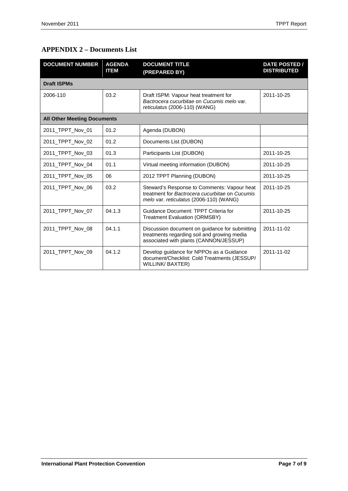# **APPENDIX 2 – Documents List**

| <b>DOCUMENT NUMBER</b>             | <b>AGENDA</b><br><b>ITEM</b> | <b>DOCUMENT TITLE</b><br>(PREPARED BY)                                                                                                   | <b>DATE POSTED /</b><br><b>DISTRIBUTED</b> |
|------------------------------------|------------------------------|------------------------------------------------------------------------------------------------------------------------------------------|--------------------------------------------|
| <b>Draft ISPMs</b>                 |                              |                                                                                                                                          |                                            |
| 2006-110                           | 03.2                         | Draft ISPM: Vapour heat treatment for<br>Bactrocera cucurbitae on Cucumis melo var.<br>reticulatus (2006-110) (WANG)                     | 2011-10-25                                 |
| <b>All Other Meeting Documents</b> |                              |                                                                                                                                          |                                            |
| 2011_TPPT_Nov_01                   | 01.2                         | Agenda (DUBON)                                                                                                                           |                                            |
| 2011_TPPT_Nov_02                   | 01.2                         | Documents List (DUBON)                                                                                                                   |                                            |
| 2011_TPPT_Nov_03                   | 01.3                         | Participants List (DUBON)                                                                                                                | 2011-10-25                                 |
| 2011 TPPT Nov 04                   | 01.1                         | Virtual meeting information (DUBON)                                                                                                      | 2011-10-25                                 |
| 2011 TPPT Nov 05                   | 06                           | 2012 TPPT Planning (DUBON)                                                                                                               | 2011-10-25                                 |
| 2011 TPPT Nov 06                   | 03.2                         | Steward's Response to Comments: Vapour heat<br>treatment for Bactrocera cucurbitae on Cucumis<br>melo var. reticulatus (2006-110) (WANG) | 2011-10-25                                 |
| 2011 TPPT Nov 07                   | 04.1.3                       | Guidance Document: TPPT Criteria for<br><b>Treatment Evaluation (ORMSBY)</b>                                                             | 2011-10-25                                 |
| 2011_TPPT_Nov_08                   | 04.1.1                       | Discussion document on guidance for submitting<br>treatments regarding soil and growing media<br>associated with plants (CANNON/JESSUP)  | 2011-11-02                                 |
| 2011_TPPT_Nov_09                   | 04.1.2                       | Develop guidance for NPPOs as a Guidance<br>document/Checklist: Cold Treatments (JESSUP/<br>WILLINK/BAXTER)                              | 2011-11-02                                 |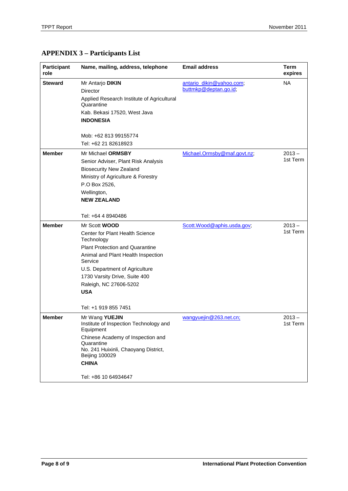# **APPENDIX 3 – Participants List**

| <b>Participant</b><br>role | Name, mailing, address, telephone                                                                                                                                                                                                                                                                   | <b>Email address</b>                              | <b>Term</b><br>expires |
|----------------------------|-----------------------------------------------------------------------------------------------------------------------------------------------------------------------------------------------------------------------------------------------------------------------------------------------------|---------------------------------------------------|------------------------|
| <b>Steward</b>             | Mr Antarjo DIKIN<br>Director<br>Applied Research Institute of Agricultural<br>Quarantine<br>Kab. Bekasi 17520, West Java<br><b>INDONESIA</b><br>Mob: +62 813 99155774<br>Tel: +62 21 82618923                                                                                                       | antario dikin@yahoo.com;<br>buttmkp@deptan.go.id; | <b>NA</b>              |
| <b>Member</b>              | Mr Michael ORMSBY<br>Senior Adviser, Plant Risk Analysis<br><b>Biosecurity New Zealand</b><br>Ministry of Agriculture & Forestry<br>P.O Box 2526,<br>Wellington,<br><b>NEW ZEALAND</b><br>Tel: +64 4 8940486                                                                                        | Michael.Ormsby@maf.govt.nz;                       | $2013 -$<br>1st Term   |
| <b>Member</b>              | Mr Scott <b>WOOD</b><br>Center for Plant Health Science<br>Technology<br><b>Plant Protection and Quarantine</b><br>Animal and Plant Health Inspection<br>Service<br>U.S. Department of Agriculture<br>1730 Varsity Drive, Suite 400<br>Raleigh, NC 27606-5202<br><b>USA</b><br>Tel: +1 919 855 7451 | Scott. Wood@aphis.usda.gov;                       | $2013 -$<br>1st Term   |
| <b>Member</b>              | Mr Wang YUEJIN<br>Institute of Inspection Technology and<br>Equipment<br>Chinese Academy of Inspection and<br>Quarantine<br>No. 241 Huixinli, Chaoyang District,<br><b>Beijing 100029</b><br><b>CHINA</b><br>Tel: +86 10 64934647                                                                   | wangyuejin@263.net.cn;                            | $2013 -$<br>1st Term   |